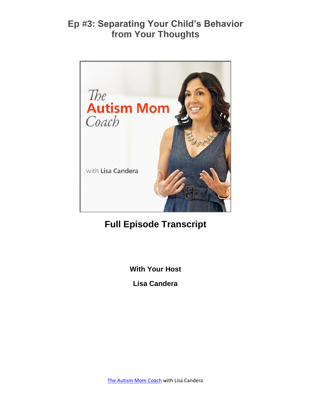

# **Full Episode Transcript**

**With Your Host**

**Lisa Candera**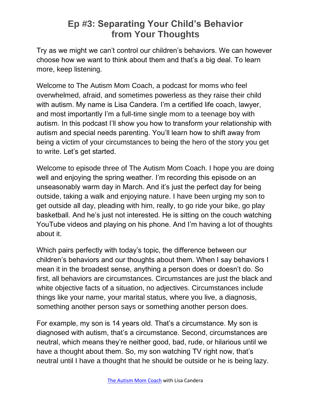Try as we might we can't control our children's behaviors. We can however choose how we want to think about them and that's a big deal. To learn more, keep listening.

Welcome to The Autism Mom Coach, a podcast for moms who feel overwhelmed, afraid, and sometimes powerless as they raise their child with autism. My name is Lisa Candera. I'm a certified life coach, lawyer, and most importantly I'm a full-time single mom to a teenage boy with autism. In this podcast I'll show you how to transform your relationship with autism and special needs parenting. You'll learn how to shift away from being a victim of your circumstances to being the hero of the story you get to write. Let's get started.

Welcome to episode three of The Autism Mom Coach. I hope you are doing well and enjoying the spring weather. I'm recording this episode on an unseasonably warm day in March. And it's just the perfect day for being outside, taking a walk and enjoying nature. I have been urging my son to get outside all day, pleading with him, really, to go ride your bike, go play basketball. And he's just not interested. He is sitting on the couch watching YouTube videos and playing on his phone. And I'm having a lot of thoughts about it.

Which pairs perfectly with today's topic, the difference between our children's behaviors and our thoughts about them. When I say behaviors I mean it in the broadest sense, anything a person does or doesn't do. So first, all behaviors are circumstances. Circumstances are just the black and white objective facts of a situation, no adjectives. Circumstances include things like your name, your marital status, where you live, a diagnosis, something another person says or something another person does.

For example, my son is 14 years old. That's a circumstance. My son is diagnosed with autism, that's a circumstance. Second, circumstances are neutral, which means they're neither good, bad, rude, or hilarious until we have a thought about them. So, my son watching TV right now, that's neutral until I have a thought that he should be outside or he is being lazy.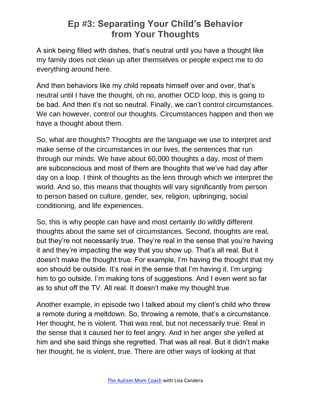A sink being filled with dishes, that's neutral until you have a thought like my family does not clean up after themselves or people expect me to do everything around here.

And then behaviors like my child repeats himself over and over, that's neutral until I have the thought, oh no, another OCD loop, this is going to be bad. And then it's not so neutral. Finally, we can't control circumstances. We can however, control our thoughts. Circumstances happen and then we have a thought about them.

So, what are thoughts? Thoughts are the language we use to interpret and make sense of the circumstances in our lives, the sentences that run through our minds. We have about 60,000 thoughts a day, most of them are subconscious and most of them are thoughts that we've had day after day on a loop. I think of thoughts as the lens through which we interpret the world. And so, this means that thoughts will vary significantly from person to person based on culture, gender, sex, religion, upbringing, social conditioning, and life experiences.

So, this is why people can have and most certainly do wildly different thoughts about the same set of circumstances. Second, thoughts are real, but they're not necessarily true. They're real in the sense that you're having it and they're impacting the way that you show up. That's all real. But it doesn't make the thought true. For example, I'm having the thought that my son should be outside. It's real in the sense that I'm having it. I'm urging him to go outside. I'm making tons of suggestions. And I even went so far as to shut off the TV. All real. It doesn't make my thought true.

Another example, in episode two I talked about my client's child who threw a remote during a meltdown. So, throwing a remote, that's a circumstance. Her thought, he is violent. That was real, but not necessarily true. Real in the sense that it caused her to feel angry. And in her anger she yelled at him and she said things she regretted. That was all real. But it didn't make her thought, he is violent, true. There are other ways of looking at that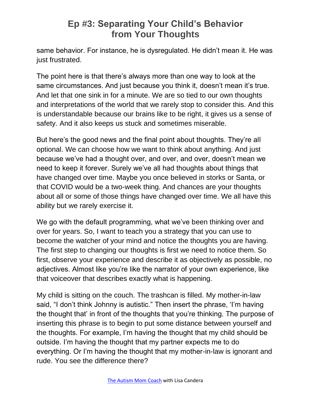same behavior. For instance, he is dysregulated. He didn't mean it. He was just frustrated.

The point here is that there's always more than one way to look at the same circumstances. And just because you think it, doesn't mean it's true. And let that one sink in for a minute. We are so tied to our own thoughts and interpretations of the world that we rarely stop to consider this. And this is understandable because our brains like to be right, it gives us a sense of safety. And it also keeps us stuck and sometimes miserable.

But here's the good news and the final point about thoughts. They're all optional. We can choose how we want to think about anything. And just because we've had a thought over, and over, and over, doesn't mean we need to keep it forever. Surely we've all had thoughts about things that have changed over time. Maybe you once believed in storks or Santa, or that COVID would be a two-week thing. And chances are your thoughts about all or some of those things have changed over time. We all have this ability but we rarely exercise it.

We go with the default programming, what we've been thinking over and over for years. So, I want to teach you a strategy that you can use to become the watcher of your mind and notice the thoughts you are having. The first step to changing our thoughts is first we need to notice them. So first, observe your experience and describe it as objectively as possible, no adjectives. Almost like you're like the narrator of your own experience, like that voiceover that describes exactly what is happening.

My child is sitting on the couch. The trashcan is filled. My mother-in-law said, "I don't think Johnny is autistic." Then insert the phrase, 'I'm having the thought that' in front of the thoughts that you're thinking. The purpose of inserting this phrase is to begin to put some distance between yourself and the thoughts. For example, I'm having the thought that my child should be outside. I'm having the thought that my partner expects me to do everything. Or I'm having the thought that my mother-in-law is ignorant and rude. You see the difference there?